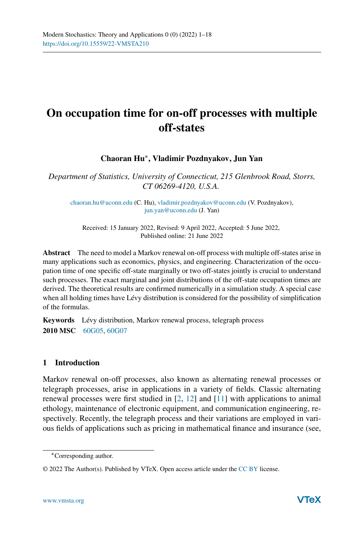# **On occupation time for on-off processes with multiple off-states**

**Chaoran Hu**∗**, Vladimir Pozdnyakov, Jun Yan**

*Department of Statistics, University of Connecticut, 215 Glenbrook Road, Storrs, CT 06269-4120, U.S.A.*

[chaoran.hu@uconn.edu](mailto:chaoran.hu@uconn.edu) (C. Hu), [vladimir.pozdnyakov@uconn.edu](mailto:vladimir.pozdnyakov@uconn.edu) (V. Pozdnyakov), [jun.yan@uconn.edu](mailto:jun.yan@uconn.edu) (J. Yan)

Received: 15 January 2022, Revised: 9 April 2022, Accepted: 5 June 2022, Published online: 21 June 2022

**Abstract** The need to model a Markov renewal on-off process with multiple off-states arise in many applications such as economics, physics, and engineering. Characterization of the occupation time of one specific off-state marginally or two off-states jointly is crucial to understand such processes. The exact marginal and joint distributions of the off-state occupation times are derived. The theoretical results are confirmed numerically in a simulation study. A special case when all holding times have Lévy distribution is considered for the possibility of simplification of the formulas.

**Keywords** Lévy distribution, Markov renewal process, telegraph process **2010 MSC** [60G05,](http://www.ams.org/msc/msc2010.html?s=60G05) [60G07](http://www.ams.org/msc/msc2010.html?s=60G07)

# **1 Introduction**

Markov renewal on-off processes, also known as alternating renewal processes or telegraph processes, arise in applications in a variety of fields. Classic alternating renewal processes were first studied in [\[2,](#page-16-0) [12](#page-16-1)] and [\[11\]](#page-16-2) with applications to animal ethology, maintenance of electronic equipment, and communication engineering, respectively. Recently, the telegraph process and their variations are employed in various fields of applications such as pricing in mathematical finance and insurance (see,

<sup>∗</sup>Corresponding author.

<sup>© 2022</sup> The Author(s). Published by VTeX. Open access article under the [CC BY](http://creativecommons.org/licenses/by/4.0/) license.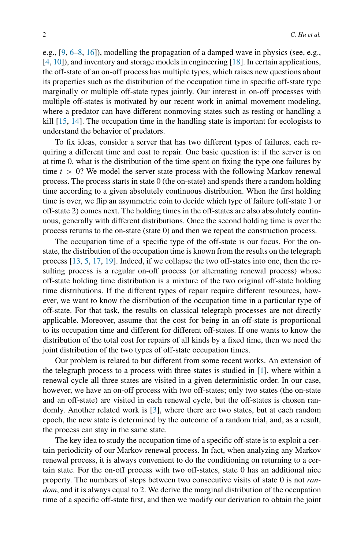e.g., [\[9,](#page-16-3) [6](#page-16-4)[–8](#page-16-5), [16](#page-16-6)]), modelling the propagation of a damped wave in physics (see, e.g., [\[4](#page-16-7), [10\]](#page-16-8)), and inventory and storage models in engineering [\[18](#page-17-0)]. In certain applications, the off-state of an on-off process has multiple types, which raises new questions about its properties such as the distribution of the occupation time in specific off-state type marginally or multiple off-state types jointly. Our interest in on-off processes with multiple off-states is motivated by our recent work in animal movement modeling, where a predator can have different nonmoving states such as resting or handling a kill [\[15](#page-16-9), [14](#page-16-10)]. The occupation time in the handling state is important for ecologists to understand the behavior of predators.

To fix ideas, consider a server that has two different types of failures, each requiring a different time and cost to repair. One basic question is: if the server is on at time 0, what is the distribution of the time spent on fixing the type one failures by time  $t > 0$ ? We model the server state process with the following Markov renewal process. The process starts in state 0 (the on-state) and spends there a random holding time according to a given absolutely continuous distribution. When the first holding time is over, we flip an asymmetric coin to decide which type of failure (off-state 1 or off-state 2) comes next. The holding times in the off-states are also absolutely continuous, generally with different distributions. Once the second holding time is over the process returns to the on-state (state 0) and then we repeat the construction process.

The occupation time of a specific type of the off-state is our focus. For the onstate, the distribution of the occupation time is known from the results on the telegraph process [\[13](#page-16-11), [5](#page-16-12), [17](#page-16-13), [19](#page-17-1)]. Indeed, if we collapse the two off-states into one, then the resulting process is a regular on-off process (or alternating renewal process) whose off-state holding time distribution is a mixture of the two original off-state holding time distributions. If the different types of repair require different resources, however, we want to know the distribution of the occupation time in a particular type of off-state. For that task, the results on classical telegraph processes are not directly applicable. Moreover, assume that the cost for being in an off-state is proportional to its occupation time and different for different off-states. If one wants to know the distribution of the total cost for repairs of all kinds by a fixed time, then we need the joint distribution of the two types of off-state occupation times.

Our problem is related to but different from some recent works. An extension of the telegraph process to a process with three states is studied in  $[1]$  $[1]$ , where within a renewal cycle all three states are visited in a given deterministic order. In our case, however, we have an on-off process with two off-states; only two states (the on-state and an off-state) are visited in each renewal cycle, but the off-states is chosen randomly. Another related work is [\[3](#page-16-15)], where there are two states, but at each random epoch, the new state is determined by the outcome of a random trial, and, as a result, the process can stay in the same state.

The key idea to study the occupation time of a specific off-state is to exploit a certain periodicity of our Markov renewal process. In fact, when analyzing any Markov renewal process, it is always convenient to do the conditioning on returning to a certain state. For the on-off process with two off-states, state 0 has an additional nice property. The numbers of steps between two consecutive visits of state 0 is not *random*, and it is always equal to 2. We derive the marginal distribution of the occupation time of a specific off-state first, and then we modify our derivation to obtain the joint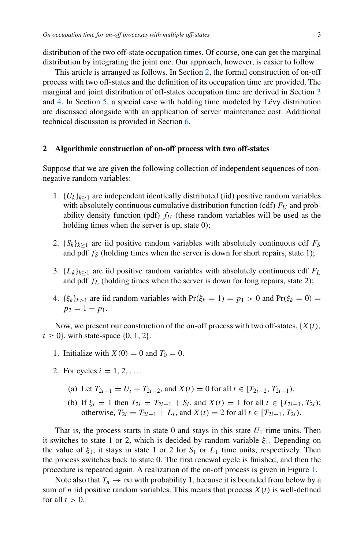distribution of the two off-state occupation times. Of course, one can get the marginal distribution by integrating the joint one. Our approach, however, is easier to follow.

This article is arranged as follows. In Section [2,](#page-2-0) the formal construction of on-off process with two off-states and the definition of its occupation time are provided. The marginal and joint distribution of off-states occupation time are derived in Section [3](#page-4-0) and [4.](#page-9-0) In Section [5,](#page-12-0) a special case with holding time modeled by Lévy distribution are discussed alongside with an application of server maintenance cost. Additional technical discussion is provided in Section [6.](#page-15-0)

## <span id="page-2-0"></span>**2 Algorithmic construction of on-off process with two off-states**

Suppose that we are given the following collection of independent sequences of nonnegative random variables:

- 1.  ${U_k}_{k\geq1}$  are independent identically distributed (iid) positive random variables with absolutely continuous cumulative distribution function (cdf)  $F_U$  and probability density function (pdf)  $f_U$  (these random variables will be used as the holding times when the server is up, state 0);
- 2.  ${S_k}_{k>1}$  are iid positive random variables with absolutely continuous cdf  $F_S$ and pdf  $f<sub>S</sub>$  (holding times when the server is down for short repairs, state 1);
- 3.  ${L_k}_{k>1}$  are iid positive random variables with absolutely continuous cdf  $F_L$ and pdf  $f_L$  (holding times when the server is down for long repairs, state 2);
- 4.  $\{\xi_k\}_{k>1}$  are iid random variables with  $Pr(\xi_k = 1) = p_1 > 0$  and  $Pr(\xi_k = 0) =$  $p_2 = 1 - p_1.$

Now, we present our construction of the on-off process with two off-states,  ${X(t)}$ ,  $t \geq 0$ , with state-space  $\{0, 1, 2\}$ .

- 1. Initialize with  $X(0) = 0$  and  $T_0 = 0$ .
- 2. For cycles  $i = 1, 2, ...$ 
	- (a) Let  $T_{2i-1} = U_i + T_{2i-2}$ , and  $X(t) = 0$  for all  $t \in [T_{2i-2}, T_{2i-1})$ .
	- (b) If  $\xi_i = 1$  then  $T_{2i} = T_{2i-1} + S_i$ , and  $X(t) = 1$  for all  $t \in [T_{2i-1}, T_{2i})$ ; otherwise,  $T_{2i} = T_{2i-1} + L_i$ , and  $X(t) = 2$  for all  $t \in [T_{2i-1}, T_{2i})$ .

That is, the process starts in state 0 and stays in this state  $U_1$  time units. Then it switches to state 1 or 2, which is decided by random variable *ξ*1. Depending on the value of  $\xi_1$ , it stays in state 1 or 2 for  $S_1$  or  $L_1$  time units, respectively. Then the process switches back to state 0. The first renewal cycle is finished, and then the procedure is repeated again. A realization of the on-off process is given in Figure [1.](#page-3-0)

Note also that  $T_n \to \infty$  with probability 1, because it is bounded from below by a sum of *n* iid positive random variables. This means that process  $X(t)$  is well-defined for all  $t > 0$ .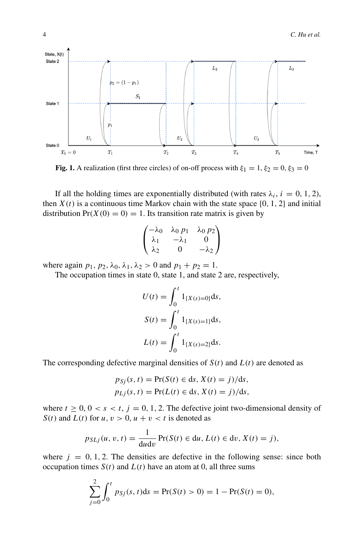<span id="page-3-0"></span>

**Fig. 1.** A realization (first three circles) of on-off process with  $\xi_1 = 1$ ,  $\xi_2 = 0$ ,  $\xi_3 = 0$ 

If all the holding times are exponentially distributed (with rates  $\lambda_i$ ,  $i = 0, 1, 2$ ), then  $X(t)$  is a continuous time Markov chain with the state space  $\{0, 1, 2\}$  and initial distribution  $Pr(X(0) = 0) = 1$ . Its transition rate matrix is given by

$$
\begin{pmatrix} -\lambda_0 & \lambda_0 p_1 & \lambda_0 p_2 \\ \lambda_1 & -\lambda_1 & 0 \\ \lambda_2 & 0 & -\lambda_2 \end{pmatrix}
$$

where again  $p_1$ ,  $p_2$ ,  $\lambda_0$ ,  $\lambda_1$ ,  $\lambda_2 > 0$  and  $p_1 + p_2 = 1$ .

The occupation times in state 0, state 1, and state 2 are, respectively,

$$
U(t) = \int_0^t 1_{\{X(s) = 0\}} ds,
$$
  
\n
$$
S(t) = \int_0^t 1_{\{X(s) = 1\}} ds,
$$
  
\n
$$
L(t) = \int_0^t 1_{\{X(s) = 2\}} ds.
$$

The corresponding defective marginal densities of  $S(t)$  and  $L(t)$  are denoted as

$$
p_{Sj}(s, t) = \Pr(S(t) \in ds, X(t) = j)/ds,
$$
  

$$
p_{Lj}(s, t) = \Pr(L(t) \in ds, X(t) = j)/ds,
$$

where  $t \geq 0$ ,  $0 < s < t$ ,  $j = 0, 1, 2$ . The defective joint two-dimensional density of *S(t)* and  $L(t)$  for  $u, v > 0, u + v < t$  is denoted as

$$
p_{SLj}(u, v, t) = \frac{1}{\mathrm{d}u \mathrm{d}v} \Pr(S(t) \in \mathrm{d}u, L(t) \in \mathrm{d}v, X(t) = j),
$$

where  $j = 0, 1, 2$ . The densities are defective in the following sense: since both occupation times  $S(t)$  and  $L(t)$  have an atom at 0, all three sums

$$
\sum_{j=0}^{2} \int_0^t p_{Sj}(s, t) ds = Pr(S(t) > 0) = 1 - Pr(S(t) = 0),
$$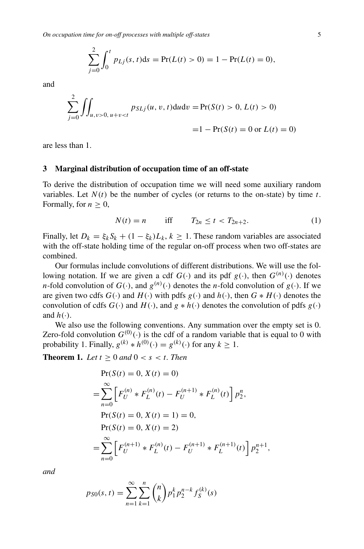$$
\sum_{j=0}^{2} \int_0^t p_{Lj}(s, t) ds = Pr(L(t) > 0) = 1 - Pr(L(t) = 0),
$$

and

$$
\sum_{j=0}^{2} \iint_{u,v>0, u+v 0, L(t) > 0)
$$
  
= 1 - Pr(S(t) = 0 or L(t) = 0)

are less than 1.

## <span id="page-4-0"></span>**3 Marginal distribution of occupation time of an off-state**

To derive the distribution of occupation time we will need some auxiliary random variables. Let  $N(t)$  be the number of cycles (or returns to the on-state) by time  $t$ . Formally, for  $n > 0$ ,

$$
N(t) = n \quad \text{iff} \quad T_{2n} \le t < T_{2n+2}.\tag{1}
$$

Finally, let  $D_k = \xi_k S_k + (1 - \xi_k)L_k$ ,  $k \ge 1$ . These random variables are associated with the off-state holding time of the regular on-off process when two off-states are combined.

Our formulas include convolutions of different distributions. We will use the following notation. If we are given a cdf  $G(\cdot)$  and its pdf  $g(\cdot)$ , then  $G^{(n)}(\cdot)$  denotes *n*-fold convolution of  $G(\cdot)$ , and  $g^{(n)}(\cdot)$  denotes the *n*-fold convolution of  $g(\cdot)$ . If we are given two cdfs  $G(\cdot)$  and  $H(\cdot)$  with pdfs  $g(\cdot)$  and  $h(\cdot)$ , then  $G * H(\cdot)$  denotes the convolution of cdfs  $G(\cdot)$  and  $H(\cdot)$ , and  $g * h(\cdot)$  denotes the convolution of pdfs  $g(\cdot)$ and  $h(\cdot)$ .

We also use the following conventions. Any summation over the empty set is 0. Zero-fold convolution  $G^{(0)}(·)$  is the cdf of a random variable that is equal to 0 with probability 1. Finally,  $g^{(k)} * h^{(0)}(.) = g^{(k)}(.)$  for any  $k \ge 1$ .

<span id="page-4-1"></span>**Theorem 1.** *Let*  $t > 0$  *and*  $0 < s < t$ *. Then* 

$$
Pr(S(t) = 0, X(t) = 0)
$$
  
= 
$$
\sum_{n=0}^{\infty} \left[ F_U^{(n)} * F_L^{(n)}(t) - F_U^{(n+1)} * F_L^{(n)}(t) \right] p_2^n,
$$
  
Pr(S(t) = 0, X(t) = 1) = 0,  
Pr(S(t) = 0, X(t) = 2)  
= 
$$
\sum_{n=0}^{\infty} \left[ F_U^{(n+1)} * F_L^{(n)}(t) - F_U^{(n+1)} * F_L^{(n+1)}(t) \right] p_2^{n+1},
$$

*and*

$$
p_{S0}(s,t) = \sum_{n=1}^{\infty} \sum_{k=1}^{n} {n \choose k} p_1^k p_2^{n-k} f_S^{(k)}(s)
$$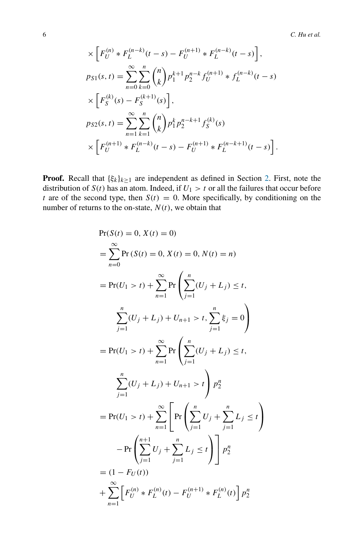6 *C. Hu et al.*

$$
\times \left[ F_U^{(n)} * F_L^{(n-k)}(t-s) - F_U^{(n+1)} * F_L^{(n-k)}(t-s) \right],
$$
  
\n
$$
p_{S1}(s,t) = \sum_{n=0}^{\infty} \sum_{k=0}^n {n \choose k} p_1^{k+1} p_2^{n-k} f_U^{(n+1)} * f_L^{(n-k)}(t-s)
$$
  
\n
$$
\times \left[ F_S^{(k)}(s) - F_S^{(k+1)}(s) \right],
$$
  
\n
$$
p_{S2}(s,t) = \sum_{n=1}^{\infty} \sum_{k=1}^n {n \choose k} p_1^k p_2^{n-k+1} f_S^{(k)}(s)
$$
  
\n
$$
\times \left[ F_U^{(n+1)} * F_L^{(n-k)}(t-s) - F_U^{(n+1)} * F_L^{(n-k+1)}(t-s) \right].
$$

**Proof.** Recall that  $\{\xi_k\}_{k\geq 1}$  are independent as defined in Section [2.](#page-2-0) First, note the distribution of  $S(t)$  has an atom. Indeed, if  $U_1 > t$  or all the failures that occur before *t* are of the second type, then  $S(t) = 0$ . More specifically, by conditioning on the number of returns to the on-state,  $N(t)$ , we obtain that

$$
Pr(S(t) = 0, X(t) = 0)
$$
  
\n
$$
= \sum_{n=0}^{\infty} Pr(S(t) = 0, X(t) = 0, N(t) = n)
$$
  
\n
$$
= Pr(U_1 > t) + \sum_{n=1}^{\infty} Pr\left(\sum_{j=1}^{n} (U_j + L_j) \le t, \sum_{j=1}^{n} \xi_j = 0\right)
$$
  
\n
$$
= Pr(U_1 > t) + \sum_{n=1}^{\infty} Pr\left(\sum_{j=1}^{n} (U_j + L_j) \le t, \sum_{j=1}^{n} \xi_j = 0\right)
$$
  
\n
$$
= Pr(U_1 > t) + \sum_{n=1}^{\infty} Pr\left(\sum_{j=1}^{n} (U_j + L_j) \le t, \sum_{j=1}^{n} \xi_j = t\right)
$$
  
\n
$$
= Pr(U_1 > t) + \sum_{n=1}^{\infty} Pr\left(\sum_{j=1}^{n} U_j + \sum_{j=1}^{n} L_j \le t\right)
$$
  
\n
$$
- Pr\left(\sum_{j=1}^{n+1} U_j + \sum_{j=1}^{n} L_j \le t\right) \mid p_2^n
$$
  
\n
$$
= (1 - F_U(t))
$$
  
\n
$$
+ \sum_{n=1}^{\infty} \left[ F_U^{(n)} * F_L^{(n)}(t) - F_U^{(n+1)} * F_L^{(n)}(t) \right] p_2^n
$$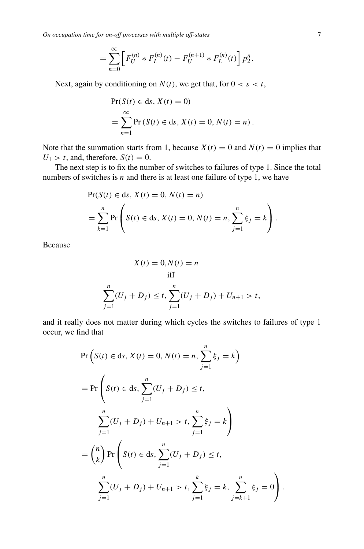*On occupation time for on-off processes with multiple off-states* 7

$$
= \sum_{n=0}^{\infty} \left[ F_U^{(n)} * F_L^{(n)}(t) - F_U^{(n+1)} * F_L^{(n)}(t) \right] p_2^n.
$$

Next, again by conditioning on  $N(t)$ , we get that, for  $0 < s < t$ ,

$$
Pr(S(t) \in ds, X(t) = 0)
$$
  
= 
$$
\sum_{n=1}^{\infty} Pr(S(t) \in ds, X(t) = 0, N(t) = n).
$$

Note that the summation starts from 1, because  $X(t) = 0$  and  $N(t) = 0$  implies that  $U_1 > t$ , and, therefore,  $S(t) = 0$ .

The next step is to fix the number of switches to failures of type 1. Since the total numbers of switches is  $n$  and there is at least one failure of type 1, we have

$$
\Pr(S(t) \in ds, X(t) = 0, N(t) = n)
$$
  
=  $\sum_{k=1}^{n} \Pr\left(S(t) \in ds, X(t) = 0, N(t) = n, \sum_{j=1}^{n} \xi_j = k\right).$ 

Because

$$
X(t) = 0, N(t) = n
$$
  
iff  

$$
\sum_{j=1}^{n} (U_j + D_j) \le t, \sum_{j=1}^{n} (U_j + D_j) + U_{n+1} > t,
$$

and it really does not matter during which cycles the switches to failures of type 1 occur, we find that

$$
\Pr\left(S(t) \in ds, X(t) = 0, N(t) = n, \sum_{j=1}^{n} \xi_j = k\right)
$$
\n
$$
= \Pr\left(S(t) \in ds, \sum_{j=1}^{n} (U_j + D_j) \le t, \sum_{j=1}^{n} (U_j + D_j) + U_{n+1} > t, \sum_{j=1}^{n} \xi_j = k\right)
$$
\n
$$
= {n \choose k} \Pr\left(S(t) \in ds, \sum_{j=1}^{n} (U_j + D_j) \le t, \sum_{j=1}^{n} \xi_j = k, \sum_{j=k+1}^{n} \xi_j = 0\right).
$$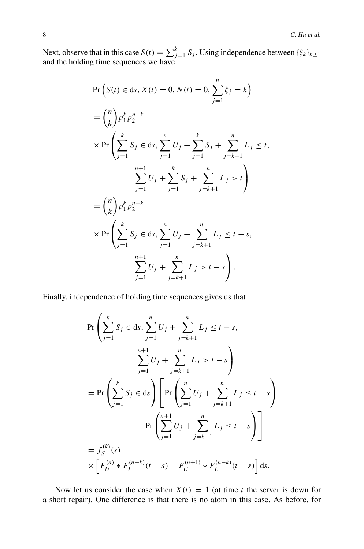Next, observe that in this case  $S(t) = \sum_{j=1}^{k} S_j$ . Using independence between  $\{\xi_k\}_{k \geq 1}$ and the holding time sequences we have

$$
\Pr\left(S(t) \in ds, X(t) = 0, N(t) = 0, \sum_{j=1}^{n} \xi_j = k\right)
$$
\n
$$
= {n \choose k} p_1^k p_2^{n-k}
$$
\n
$$
\times \Pr\left(\sum_{j=1}^k S_j \in ds, \sum_{j=1}^n U_j + \sum_{j=1}^k S_j + \sum_{j=k+1}^n L_j \le t, \sum_{j=1}^{n+1} U_j + \sum_{j=1}^k S_j + \sum_{j=k+1}^n L_j > t\right)
$$
\n
$$
= {n \choose k} p_1^k p_2^{n-k}
$$
\n
$$
\times \Pr\left(\sum_{j=1}^k S_j \in ds, \sum_{j=1}^n U_j + \sum_{j=k+1}^n L_j \le t - s, \sum_{j=1}^{n+1} U_j + \sum_{j=k+1}^n L_j > t - s\right).
$$

Finally, independence of holding time sequences gives us that

$$
\Pr\left(\sum_{j=1}^{k} S_j \in ds, \sum_{j=1}^{n} U_j + \sum_{j=k+1}^{n} L_j \le t - s, \sum_{j=1}^{n+1} U_j + \sum_{j=k+1}^{n} L_j > t - s\right)
$$
  
= 
$$
\Pr\left(\sum_{j=1}^{k} S_j \in ds\right) \left[\Pr\left(\sum_{j=1}^{n} U_j + \sum_{j=k+1}^{n} L_j \le t - s\right) - \Pr\left(\sum_{j=1}^{n+1} U_j + \sum_{j=k+1}^{n} L_j \le t - s\right)\right]
$$
  
= 
$$
f_S^{(k)}(s)
$$
  

$$
\times \left[F_U^{(n)} * F_L^{(n-k)}(t - s) - F_U^{(n+1)} * F_L^{(n-k)}(t - s)\right] ds.
$$

Now let us consider the case when  $X(t) = 1$  (at time *t* the server is down for a short repair). One difference is that there is no atom in this case. As before, for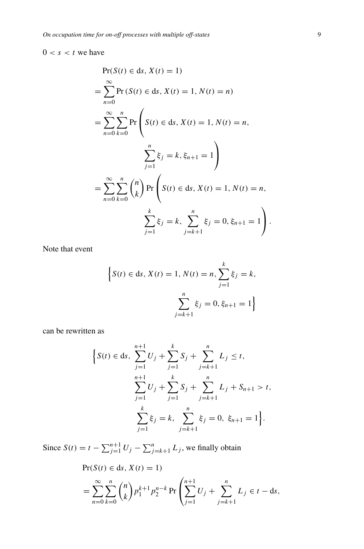# $0 < s < t$  we have

$$
\Pr(S(t) \in ds, X(t) = 1)
$$
  
=  $\sum_{n=0}^{\infty} \Pr(S(t) \in ds, X(t) = 1, N(t) = n)$   
=  $\sum_{n=0}^{\infty} \sum_{k=0}^{n} \Pr\left(S(t) \in ds, X(t) = 1, N(t) = n, \sum_{j=1}^{n} \xi_j = k, \xi_{n+1} = 1\right)$   
=  $\sum_{n=0}^{\infty} \sum_{k=0}^{n} {n \choose k} \Pr\left(S(t) \in ds, X(t) = 1, N(t) = n, \sum_{j=1}^{k} \xi_j = k, \sum_{j=k+1}^{n} \xi_j = 0, \xi_{n+1} = 1\right).$ 

Note that event

$$
\left\{ S(t) \in ds, X(t) = 1, N(t) = n, \sum_{j=1}^{k} \xi_j = k, \right\}
$$

$$
\sum_{j=k+1}^{n} \xi_j = 0, \xi_{n+1} = 1 \right\}
$$

can be rewritten as

$$
\left\{S(t) \in ds, \sum_{j=1}^{n+1} U_j + \sum_{j=1}^k S_j + \sum_{j=k+1}^n L_j \le t, \sum_{j=1}^{n+1} U_j + \sum_{j=1}^k S_j + \sum_{j=k+1}^n L_j + S_{n+1} > t, \sum_{j=1}^k \xi_j = k, \sum_{j=k+1}^n \xi_j = 0, \xi_{n+1} = 1\right\}.
$$

Since  $S(t) = t - \sum_{j=1}^{n+1} U_j - \sum_{j=k+1}^{n} L_j$ , we finally obtain

$$
Pr(S(t) \in ds, X(t) = 1)
$$
  
= 
$$
\sum_{n=0}^{\infty} \sum_{k=0}^{n} {n \choose k} p_1^{k+1} p_2^{n-k} Pr\left(\sum_{j=1}^{n+1} U_j + \sum_{j=k+1}^{n} L_j \in t - ds\right),
$$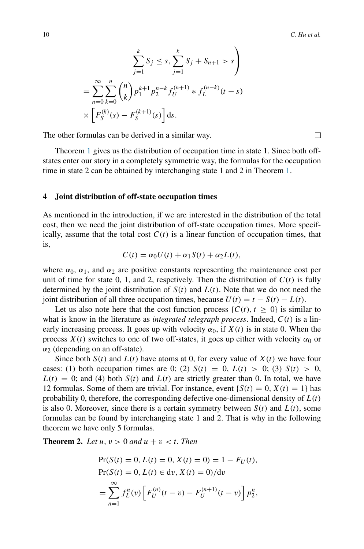$$
\sum_{j=1}^{k} S_j \le s, \sum_{j=1}^{k} S_j + S_{n+1} > s
$$

$$
= \sum_{n=0}^{\infty} \sum_{k=0}^{n} {n \choose k} p_1^{k+1} p_2^{n-k} f_U^{(n+1)} * f_L^{(n-k)}(t-s)
$$

$$
\times \left[ F_S^{(k)}(s) - F_S^{(k+1)}(s) \right] ds.
$$

The other formulas can be derived in a similar way.

Theorem [1](#page-4-1) gives us the distribution of occupation time in state 1. Since both offstates enter our story in a completely symmetric way, the formulas for the occupation time in state 2 can be obtained by interchanging state 1 and 2 in Theorem [1.](#page-4-1)

### <span id="page-9-0"></span>**4 Joint distribution of off-state occupation times**

As mentioned in the introduction, if we are interested in the distribution of the total cost, then we need the joint distribution of off-state occupation times. More specifically, assume that the total cost  $C(t)$  is a linear function of occupation times, that is,

$$
C(t) = \alpha_0 U(t) + \alpha_1 S(t) + \alpha_2 L(t),
$$

where  $\alpha_0$ ,  $\alpha_1$ , and  $\alpha_2$  are positive constants representing the maintenance cost per unit of time for state 0, 1, and 2, respectively. Then the distribution of  $C(t)$  is fully determined by the joint distribution of  $S(t)$  and  $L(t)$ . Note that we do not need the joint distribution of all three occupation times, because  $U(t) = t - S(t) - L(t)$ .

Let us also note here that the cost function process  $\{C(t), t \geq 0\}$  is similar to what is know in the literature as *integrated telegraph process*. Indeed, *C(t)* is a linearly increasing process. It goes up with velocity  $\alpha_0$ , if  $X(t)$  is in state 0. When the process  $X(t)$  switches to one of two off-states, it goes up either with velocity  $α_0$  or *α*<sup>2</sup> (depending on an off-state).

Since both  $S(t)$  and  $L(t)$  have atoms at 0, for every value of  $X(t)$  we have four cases: (1) both occupation times are 0; (2)  $S(t) = 0$ ,  $L(t) > 0$ ; (3)  $S(t) > 0$ ,  $L(t) = 0$ ; and (4) both  $S(t)$  and  $L(t)$  are strictly greater than 0. In total, we have 12 formulas. Some of them are trivial. For instance, event  ${S(t) = 0, X(t) = 1}$  has probability 0, therefore, the corresponding defective one-dimensional density of  $L(t)$ is also 0. Moreover, since there is a certain symmetry between  $S(t)$  and  $L(t)$ , some formulas can be found by interchanging state 1 and 2. That is why in the following theorem we have only 5 formulas.

<span id="page-9-1"></span>**Theorem 2.** Let  $u, v > 0$  and  $u + v < t$ . Then

$$
Pr(S(t) = 0, L(t) = 0, X(t) = 0) = 1 - F_U(t),
$$
  
\n
$$
Pr(S(t) = 0, L(t) \in dv, X(t) = 0)/dv
$$
  
\n
$$
= \sum_{n=1}^{\infty} f_L^n(v) \left[ F_U^{(n)}(t - v) - F_U^{(n+1)}(t - v) \right] p_2^n,
$$

 $\Box$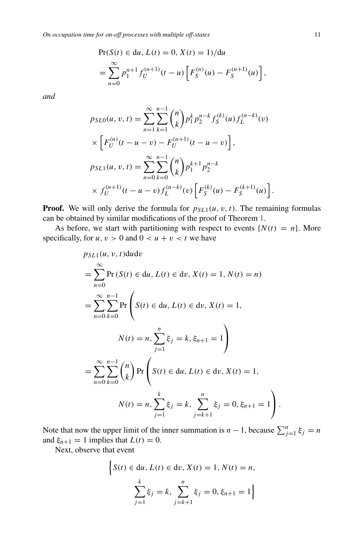$$
\Pr(S(t) \in du, L(t) = 0, X(t) = 1) / du
$$
  
= 
$$
\sum_{n=0}^{\infty} p_1^{n+1} f_U^{(n+1)}(t-u) \left[ F_S^{(n)}(u) - F_S^{(n+1)}(u) \right],
$$

*and*

$$
p_{SL0}(u, v, t) = \sum_{n=1}^{\infty} \sum_{k=1}^{n-1} {n \choose k} p_1^k p_2^{n-k} f_S^{(k)}(u) f_L^{(n-k)}(v)
$$
  
 
$$
\times \left[ F_U^{(n)}(t - u - v) - F_U^{(n+1)}(t - u - v) \right],
$$
  
\n
$$
p_{SL1}(u, v, t) = \sum_{n=0}^{\infty} \sum_{k=0}^{n-1} {n \choose k} p_1^{k+1} p_2^{n-k}
$$
  
\n
$$
\times f_U^{(n+1)}(t - u - v) f_L^{(n-k)}(v) \left[ F_S^{(k)}(u) - F_S^{(k+1)}(u) \right].
$$

**Proof.** We will only derive the formula for  $p_{SL1}(u, v, t)$ . The remaining formulas can be obtained by similar modifications of the proof of Theorem [1.](#page-4-1)

As before, we start with partitioning with respect to events  $\{N(t) = n\}$ . More specifically, for  $u, v > 0$  and  $0 < u + v < t$  we have

$$
p_{SL1}(u, v, t) du dv
$$
  
=  $\sum_{n=0}^{\infty} \Pr (S(t) \in du, L(t) \in dv, X(t) = 1, N(t) = n)$   
=  $\sum_{n=0}^{\infty} \sum_{k=0}^{n-1} \Pr \left( S(t) \in du, L(t) \in dv, X(t) = 1, \right)$   
 $N(t) = n, \sum_{j=1}^{n} \xi_j = k, \xi_{n+1} = 1$   
=  $\sum_{n=0}^{\infty} \sum_{k=0}^{n-1} {n \choose k} \Pr \left( S(t) \in du, L(t) \in dv, X(t) = 1, \right)$   
 $N(t) = n, \sum_{j=1}^{k} \xi_j = k, \sum_{j=k+1}^{n} \xi_j = 0, \xi_{n+1} = 1$ .

Note that now the upper limit of the inner summation is  $n - 1$ , because  $\sum_{j=1}^{n} \xi_j = n$ and  $\xi_{n+1} = 1$  implies that  $L(t) = 0$ .

Next, observe that event

$$
\left\{ S(t) \in du, L(t) \in dv, X(t) = 1, N(t) = n, \atop \sum_{j=1}^{k} \xi_j = k, \sum_{j=k+1}^{n} \xi_j = 0, \xi_{n+1} = 1 \right\}
$$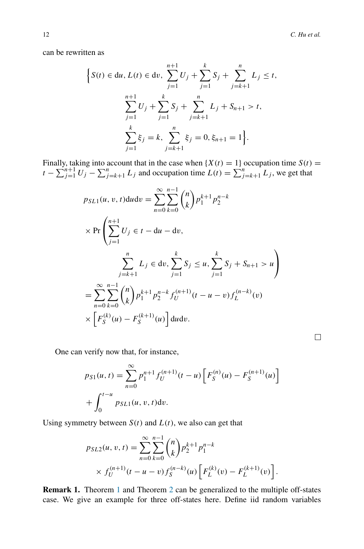can be rewritten as

$$
\left\{S(t) \in du, L(t) \in dv, \sum_{j=1}^{n+1} U_j + \sum_{j=1}^k S_j + \sum_{j=k+1}^n L_j \le t, \sum_{j=1}^{n+1} U_j + \sum_{j=1}^k S_j + \sum_{j=k+1}^n L_j + S_{n+1} > t, \sum_{j=1}^k \xi_j = k, \sum_{j=k+1}^n \xi_j = 0, \xi_{n+1} = 1\right\}.
$$

Finally, taking into account that in the case when  $\{X(t) = 1\}$  occupation time  $S(t) =$  $t - \sum_{j=1}^{n+1} U_j - \sum_{j=k+1}^{n} L_j$  and occupation time  $L(t) = \sum_{j=k+1}^{n} L_j$ , we get that

$$
p_{SL1}(u, v, t) du dv = \sum_{n=0}^{\infty} \sum_{k=0}^{n-1} {n \choose k} p_1^{k+1} p_2^{n-k}
$$
  
\n
$$
\times \Pr \left( \sum_{j=1}^{n+1} U_j \in t - du - dv, \sum_{j=1}^{n} S_j \le u, \sum_{j=1}^{k} S_j + S_{n+1} > u \right)
$$
  
\n
$$
= \sum_{n=0}^{\infty} \sum_{k=0}^{n-1} {n \choose k} p_1^{k+1} p_2^{n-k} f_U^{(n+1)}(t - u - v) f_L^{(n-k)}(v)
$$
  
\n
$$
\times \left[ F_S^{(k)}(u) - F_S^{(k+1)}(u) \right] du dv.
$$

One can verify now that, for instance,

$$
p_{S1}(u,t) = \sum_{n=0}^{\infty} p_1^{n+1} f_U^{(n+1)}(t-u) \left[ F_S^{(n)}(u) - F_S^{(n+1)}(u) \right] + \int_0^{t-u} p_{SL}(u,v,t) \mathrm{d}v.
$$

Using symmetry between  $S(t)$  and  $L(t)$ , we also can get that

$$
p_{SL2}(u, v, t) = \sum_{n=0}^{\infty} \sum_{k=0}^{n-1} {n \choose k} p_2^{k+1} p_1^{n-k}
$$
  
 
$$
\times f_U^{(n+1)}(t - u - v) f_S^{(n-k)}(u) \left[ F_L^{(k)}(v) - F_L^{(k+1)}(v) \right].
$$

**Remark [1](#page-4-1).** Theorem 1 and Theorem [2](#page-9-1) can be generalized to the multiple off-states case. We give an example for three off-states here. Define iid random variables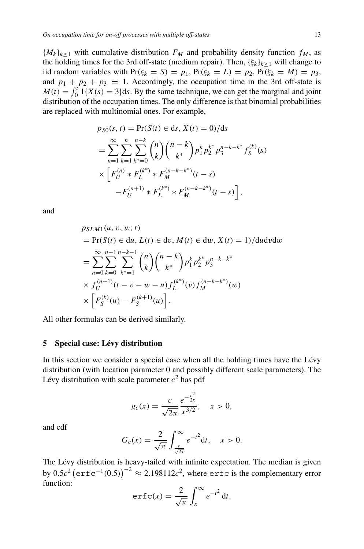${M_k}_{k>1}$  with cumulative distribution  $F_M$  and probability density function  $f_M$ , as the holding times for the 3rd off-state (medium repair). Then, {*ξk*}*k*≥<sup>1</sup> will change to iid random variables with  $Pr(\xi_k = S) = p_1, Pr(\xi_k = L) = p_2, Pr(\xi_k = M) = p_3$ , and  $p_1 + p_2 + p_3 = 1$ . Accordingly, the occupation time in the 3rd off-state is  $M(t) = \int_0^t 1\{X(s) = 3\}ds$ . By the same technique, we can get the marginal and joint distribution of the occupation times. The only difference is that binomial probabilities are replaced with multinomial ones. For example,

$$
p_{S0}(s, t) = \Pr(S(t) \in ds, X(t) = 0) / ds
$$
  
= 
$$
\sum_{n=1}^{\infty} \sum_{k=1}^{n} \sum_{k^*=0}^{n-k} {n \choose k} {n-k \choose k^*} p_1^k p_2^{k^*} p_3^{n-k-k^*} f_S^{(k)}(s)
$$
  

$$
\times \left[ F_U^{(n)} * F_L^{(k^*)} * F_M^{(n-k-k^*)}(t-s) - F_U^{(n+1)} * F_L^{(k^*)} * F_M^{(n-k-k^*)}(t-s) \right],
$$

and

$$
p_{SLM1}(u, v, w; t)
$$
  
= Pr(S(t)  $\in du$ ,  $L(t) \in dv$ ,  $M(t) \in dw$ ,  $X(t) = 1$ )/dudvdw  
= 
$$
\sum_{n=0}^{\infty} \sum_{k=0}^{n-1} \sum_{k^*=1}^{n-k-1} {n \choose k} {n-k \choose k^*} p_1^k p_2^{k^*} p_3^{n-k-k^*}
$$
  
 $\times f_U^{(n+1)}(t - v - w - u) f_L^{(k^*)}(v) f_M^{(n-k-k^*)}(w)$   
 $\times \left[ F_S^{(k)}(u) - F_S^{(k+1)}(u) \right].$ 

All other formulas can be derived similarly.

## <span id="page-12-0"></span>**5 Special case: Lévy distribution**

In this section we consider a special case when all the holding times have the Lévy distribution (with location parameter 0 and possibly different scale parameters). The Lévy distribution with scale parameter  $c^2$  has pdf

$$
g_c(x) = \frac{c}{\sqrt{2\pi}} \frac{e^{-\frac{c^2}{2x}}}{x^{3/2}}, \quad x > 0,
$$

and cdf

$$
G_c(x) = \frac{2}{\sqrt{\pi}} \int_{\frac{c}{\sqrt{2x}}}^{\infty} e^{-t^2} dt, \quad x > 0.
$$

The Lévy distribution is heavy-tailed with infinite expectation. The median is given by  $0.5c^2$  (erfc<sup>-1</sup> $(0.5)$ )<sup>-2</sup> ≈ 2.198112*c*<sup>2</sup>, where erfc is the complementary error function:

$$
\operatorname{erfc}(x) = \frac{2}{\sqrt{\pi}} \int_x^{\infty} e^{-t^2} dt.
$$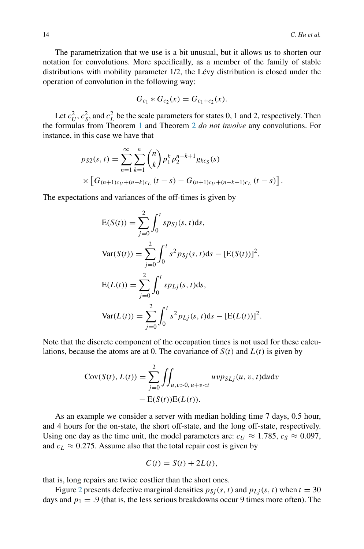The parametrization that we use is a bit unusual, but it allows us to shorten our notation for convolutions. More specifically, as a member of the family of stable distributions with mobility parameter 1/2, the Lévy distribution is closed under the operation of convolution in the following way:

$$
G_{c_1} * G_{c_2}(x) = G_{c_1+c_2}(x).
$$

Let  $c_U^2$ ,  $c_S^2$ , and  $c_L^2$  be the scale parameters for states 0, 1 and 2, respectively. Then the formulas from Theorem [1](#page-4-1) and Theorem [2](#page-9-1) *do not involve* any convolutions. For instance, in this case we have that

$$
p_{S2}(s,t) = \sum_{n=1}^{\infty} \sum_{k=1}^{n} {n \choose k} p_1^k p_2^{n-k+1} g_{k c_S}(s)
$$
  
 
$$
\times \left[G_{(n+1)c_U+(n-k)c_L} (t-s) - G_{(n+1)c_U+(n-k+1)c_L} (t-s)\right].
$$

The expectations and variances of the off-times is given by

$$
E(S(t)) = \sum_{j=0}^{2} \int_{0}^{t} s p_{Sj}(s, t) ds,
$$
  
\n
$$
Var(S(t)) = \sum_{j=0}^{2} \int_{0}^{t} s^{2} p_{Sj}(s, t) ds - [E(S(t))]^{2},
$$
  
\n
$$
E(L(t)) = \sum_{j=0}^{2} \int_{0}^{t} s p_{Lj}(s, t) ds,
$$
  
\n
$$
Var(L(t)) = \sum_{j=0}^{2} \int_{0}^{t} s^{2} p_{Lj}(s, t) ds - [E(L(t))]^{2}.
$$

Note that the discrete component of the occupation times is not used for these calculations, because the atoms are at 0. The covariance of  $S(t)$  and  $L(t)$  is given by

$$
Cov(S(t), L(t)) = \sum_{j=0}^{2} \iint_{u,v>0, u+v
$$
- E(S(t)) E(L(t)).
$$
$$

As an example we consider a server with median holding time 7 days, 0.5 hour, and 4 hours for the on-state, the short off-state, and the long off-state, respectively. Using one day as the time unit, the model parameters are:  $c_U \approx 1.785$ ,  $c_S \approx 0.097$ , and  $c_L \approx 0.275$ . Assume also that the total repair cost is given by

$$
C(t) = S(t) + 2L(t),
$$

that is, long repairs are twice costlier than the short ones.

Figure [2](#page-14-0) presents defective marginal densities  $p_{S_i}(s, t)$  and  $p_{Li}(s, t)$  when  $t = 30$ days and  $p_1 = .9$  (that is, the less serious breakdowns occur 9 times more often). The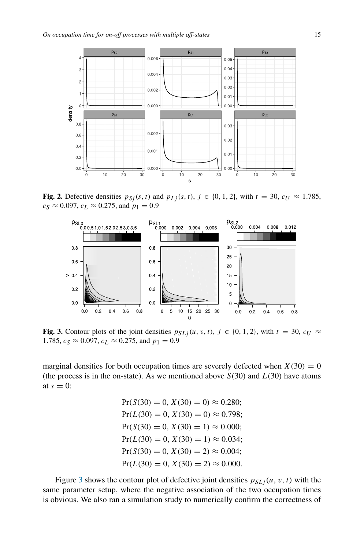<span id="page-14-0"></span>

**Fig. 2.** Defective densities  $p_{Sj}(s, t)$  and  $p_{Lj}(s, t)$ ,  $j \in \{0, 1, 2\}$ , with  $t = 30$ ,  $c_U \approx 1.785$ ,  $c_S \approx 0.097$ ,  $c_L \approx 0.275$ , and  $p_1 = 0.9$ 

<span id="page-14-1"></span>

**Fig. 3.** Contour plots of the joint densities  $p_{SLj}(u, v, t)$ ,  $j \in \{0, 1, 2\}$ , with  $t = 30$ ,  $c_U \approx$ 1.785,  $c_S \approx 0.097$ ,  $c_L \approx 0.275$ , and  $p_1 = 0.9$ 

marginal densities for both occupation times are severely defected when  $X(30) = 0$ (the process is in the on-state). As we mentioned above  $S(30)$  and  $L(30)$  have atoms at  $s = 0$ :

> $Pr(S(30) = 0, X(30) = 0) \approx 0.280;$  $Pr(L(30) = 0, X(30) = 0) \approx 0.798;$  $Pr(S(30) = 0, X(30) = 1) \approx 0.000;$  $Pr(L(30) = 0, X(30) = 1) \approx 0.034;$  $Pr(S(30) = 0, X(30) = 2) \approx 0.004;$  $Pr(L(30) = 0, X(30) = 2) \approx 0.000$ .

Figure [3](#page-14-1) shows the contour plot of defective joint densities  $p_{SLj}(u, v, t)$  with the same parameter setup, where the negative association of the two occupation times is obvious. We also ran a simulation study to numerically confirm the correctness of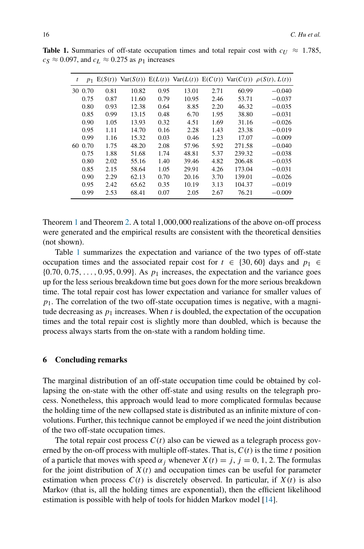| t  | $p_1$ | E(S(t)) | Var(S(t)) |      |       |      |        | $E(L(t))$ Var $(L(t))$ $E(C(t))$ Var $(C(t))$ $\rho(S(t), L(t))$ |
|----|-------|---------|-----------|------|-------|------|--------|------------------------------------------------------------------|
| 30 | 0.70  | 0.81    | 10.82     | 0.95 | 13.01 | 2.71 | 60.99  | $-0.040$                                                         |
|    | 0.75  | 0.87    | 11.60     | 0.79 | 10.95 | 2.46 | 53.71  | $-0.037$                                                         |
|    | 0.80  | 0.93    | 12.38     | 0.64 | 8.85  | 2.20 | 46.32  | $-0.035$                                                         |
|    | 0.85  | 0.99    | 13.15     | 0.48 | 6.70  | 1.95 | 38.80  | $-0.031$                                                         |
|    | 0.90  | 1.05    | 13.93     | 0.32 | 4.51  | 1.69 | 31.16  | $-0.026$                                                         |
|    | 0.95  | 1.11    | 14.70     | 0.16 | 2.28  | 1.43 | 23.38  | $-0.019$                                                         |
|    | 0.99  | 1.16    | 15.32     | 0.03 | 0.46  | 1.23 | 17.07  | $-0.009$                                                         |
| 60 | 0.70  | 1.75    | 48.20     | 2.08 | 57.96 | 5.92 | 271.58 | $-0.040$                                                         |
|    | 0.75  | 1.88    | 51.68     | 1.74 | 48.81 | 5.37 | 239.32 | $-0.038$                                                         |
|    | 0.80  | 2.02    | 55.16     | 1.40 | 39.46 | 4.82 | 206.48 | $-0.035$                                                         |
|    | 0.85  | 2.15    | 58.64     | 1.05 | 29.91 | 4.26 | 173.04 | $-0.031$                                                         |
|    | 0.90  | 2.29    | 62.13     | 0.70 | 20.16 | 3.70 | 139.01 | $-0.026$                                                         |
|    | 0.95  | 2.42    | 65.62     | 0.35 | 10.19 | 3.13 | 104.37 | $-0.019$                                                         |
|    | 0.99  | 2.53    | 68.41     | 0.07 | 2.05  | 2.67 | 76.21  | $-0.009$                                                         |

<span id="page-15-1"></span>**Table 1.** Summaries of off-state occupation times and total repair cost with  $c_U \approx 1.785$ ,  $c_S \approx 0.097$ , and  $c_L \approx 0.275$  as  $p_1$  increases

Theorem [1](#page-4-1) and Theorem [2.](#page-9-1) A total 1*,*000*,*000 realizations of the above on-off process were generated and the empirical results are consistent with the theoretical densities (not shown).

Table [1](#page-15-1) summarizes the expectation and variance of the two types of off-state occupation times and the associated repair cost for  $t \in \{30, 60\}$  days and  $p_1 \in$ {0*.*70*,* 0*.*75*,...,* 0*.*95*,* 0*.*99}. As *p*<sup>1</sup> increases, the expectation and the variance goes up for the less serious breakdown time but goes down for the more serious breakdown time. The total repair cost has lower expectation and variance for smaller values of  $p_1$ . The correlation of the two off-state occupation times is negative, with a magnitude decreasing as  $p_1$  increases. When  $t$  is doubled, the expectation of the occupation times and the total repair cost is slightly more than doubled, which is because the process always starts from the on-state with a random holding time.

### <span id="page-15-0"></span>**6 Concluding remarks**

The marginal distribution of an off-state occupation time could be obtained by collapsing the on-state with the other off-state and using results on the telegraph process. Nonetheless, this approach would lead to more complicated formulas because the holding time of the new collapsed state is distributed as an infinite mixture of convolutions. Further, this technique cannot be employed if we need the joint distribution of the two off-state occupation times.

The total repair cost process  $C(t)$  also can be viewed as a telegraph process governed by the on-off process with multiple off-states. That is, *C(t)* is the time *t* position of a particle that moves with speed  $\alpha_j$  whenever  $X(t) = j$ ,  $j = 0, 1, 2$ . The formulas for the joint distribution of  $X(t)$  and occupation times can be useful for parameter estimation when process  $C(t)$  is discretely observed. In particular, if  $X(t)$  is also Markov (that is, all the holding times are exponential), then the efficient likelihood estimation is possible with help of tools for hidden Markov model [\[14\]](#page-16-10).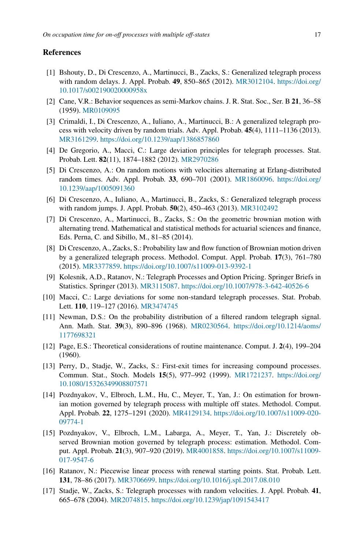## **References**

- <span id="page-16-14"></span>[1] Bshouty, D., Di Crescenzo, A., Martinucci, B., Zacks, S.: Generalized telegraph process with random delays. J. Appl. Probab. **49**, 850–865 (2012). [MR3012104.](http://www.ams.org/mathscinet-getitem?mr=3012104) [https://doi.org/](https://doi.org/10.1017/s002190020000958x) [10.1017/s002190020000958x](https://doi.org/10.1017/s002190020000958x)
- <span id="page-16-0"></span>[2] Cane, V.R.: Behavior sequences as semi-Markov chains. J. R. Stat. Soc., Ser. B **21**, 36–58 (1959). [MR0109095](http://www.ams.org/mathscinet-getitem?mr=0109095)
- <span id="page-16-15"></span>[3] Crimaldi, I., Di Crescenzo, A., Iuliano, A., Martinucci, B.: A generalized telegraph process with velocity driven by random trials. Adv. Appl. Probab. **45**(4), 1111–1136 (2013). [MR3161299.](http://www.ams.org/mathscinet-getitem?mr=3161299) <https://doi.org/10.1239/aap/1386857860>
- <span id="page-16-7"></span>[4] De Gregorio, A., Macci, C.: Large deviation principles for telegraph processes. Stat. Probab. Lett. **82**(11), 1874–1882 (2012). [MR2970286](http://www.ams.org/mathscinet-getitem?mr=2970286)
- <span id="page-16-12"></span>[5] Di Crescenzo, A.: On random motions with velocities alternating at Erlang-distributed random times. Adv. Appl. Probab. **33**, 690–701 (2001). [MR1860096.](http://www.ams.org/mathscinet-getitem?mr=1860096) [https://doi.org/](https://doi.org/10.1239/aap/1005091360) [10.1239/aap/1005091360](https://doi.org/10.1239/aap/1005091360)
- <span id="page-16-4"></span>[6] Di Crescenzo, A., Iuliano, A., Martinucci, B., Zacks, S.: Generalized telegraph process with random jumps. J. Appl. Probab. **50**(2), 450–463 (2013). [MR3102492](http://www.ams.org/mathscinet-getitem?mr=3102492)
- [7] Di Crescenzo, A., Martinucci, B., Zacks, S.: On the geometric brownian motion with alternating trend. Mathematical and statistical methods for actuarial sciences and finance, Eds. Perna, C. and Sibillo, M., 81–85 (2014).
- <span id="page-16-5"></span>[8] Di Crescenzo, A., Zacks, S.: Probability law and flow function of Brownian motion driven by a generalized telegraph process. Methodol. Comput. Appl. Probab. **17**(3), 761–780 (2015). [MR3377859.](http://www.ams.org/mathscinet-getitem?mr=3377859) <https://doi.org/10.1007/s11009-013-9392-1>
- <span id="page-16-3"></span>[9] Kolesnik, A.D., Ratanov, N.: Telegraph Processes and Option Pricing. Springer Briefs in Statistics. Springer (2013). [MR3115087.](http://www.ams.org/mathscinet-getitem?mr=3115087) <https://doi.org/10.1007/978-3-642-40526-6>
- <span id="page-16-8"></span>[10] Macci, C.: Large deviations for some non-standard telegraph processes. Stat. Probab. Lett. **110**, 119–127 (2016). [MR3474745](http://www.ams.org/mathscinet-getitem?mr=3474745)
- <span id="page-16-2"></span>[11] Newman, D.S.: On the probability distribution of a filtered random telegraph signal. Ann. Math. Stat. **39**(3), 890–896 (1968). [MR0230564.](http://www.ams.org/mathscinet-getitem?mr=0230564) [https://doi.org/10.1214/aoms/](https://doi.org/10.1214/aoms/1177698321) [1177698321](https://doi.org/10.1214/aoms/1177698321)
- <span id="page-16-1"></span>[12] Page, E.S.: Theoretical considerations of routine maintenance. Comput. J. **2**(4), 199–204 (1960).
- <span id="page-16-11"></span>[13] Perry, D., Stadje, W., Zacks, S.: First-exit times for increasing compound processes. Commun. Stat., Stoch. Models **15**(5), 977–992 (1999). [MR1721237.](http://www.ams.org/mathscinet-getitem?mr=1721237) [https://doi.org/](https://doi.org/10.1080/15326349908807571) [10.1080/15326349908807571](https://doi.org/10.1080/15326349908807571)
- <span id="page-16-10"></span>[14] Pozdnyakov, V., Elbroch, L.M., Hu, C., Meyer, T., Yan, J.: On estimation for brownian motion governed by telegraph process with multiple off states. Methodol. Comput. Appl. Probab. **22**, 1275–1291 (2020). [MR4129134.](http://www.ams.org/mathscinet-getitem?mr=4129134) [https://doi.org/10.1007/s11009-020-](https://doi.org/10.1007/s11009-020-09774-1) [09774-1](https://doi.org/10.1007/s11009-020-09774-1)
- <span id="page-16-9"></span>[15] Pozdnyakov, V., Elbroch, L.M., Labarga, A., Meyer, T., Yan, J.: Discretely observed Brownian motion governed by telegraph process: estimation. Methodol. Comput. Appl. Probab. **21**(3), 907–920 (2019). [MR4001858.](http://www.ams.org/mathscinet-getitem?mr=4001858) [https://doi.org/10.1007/s11009-](https://doi.org/10.1007/s11009-017-9547-6) [017-9547-6](https://doi.org/10.1007/s11009-017-9547-6)
- <span id="page-16-6"></span>[16] Ratanov, N.: Piecewise linear process with renewal starting points. Stat. Probab. Lett. **131**, 78–86 (2017). [MR3706699.](http://www.ams.org/mathscinet-getitem?mr=3706699) <https://doi.org/10.1016/j.spl.2017.08.010>
- <span id="page-16-13"></span>[17] Stadje, W., Zacks, S.: Telegraph processes with random velocities. J. Appl. Probab. **41**, 665–678 (2004). [MR2074815.](http://www.ams.org/mathscinet-getitem?mr=2074815) <https://doi.org/10.1239/jap/1091543417>